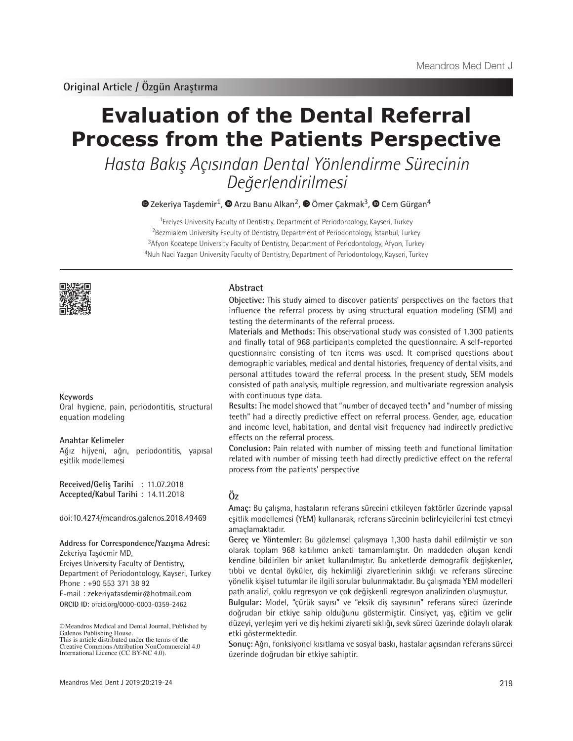# **Evaluation of the Dental Referral Process from the Patients Perspective**

Hasta Bakış Açısından Dental Yönlendirme Sürecinin Değerlendirilmesi

 $\bullet$ Zekeriya Taşdemir<sup>1</sup>,  $\bullet$  Arzu Banu Alkan<sup>2</sup>,  $\bullet$  Ömer Çakmak<sup>3</sup>,  $\bullet$  Cem Gürgan<sup>4</sup>

<sup>1</sup>Erciyes University Faculty of Dentistry, Department of Periodontology, Kayseri, Turkey <sup>2</sup>Bezmialem University Faculty of Dentistry, Department of Periodontology, İstanbul, Turkey <sup>3</sup>Afyon Kocatepe University Faculty of Dentistry, Department of Periodontology, Afyon, Turkey <sup>4</sup>Nuh Naci Yazgan University Faculty of Dentistry, Department of Periodontology, Kayseri, Turkey



#### **Keywords**

Oral hygiene, pain, periodontitis, structural equation modeling

#### **Anahtar Kelimeler**

Ağız hijyeni, ağrı, periodontitis, yapısal eşitlik modellemesi

**Received/Geliş Tarihi** : 11.07.2018 **Accepted/Kabul Tarihi** : 14.11.2018

doi:10.4274/meandros.galenos.2018.49469

#### **Address for Correspondence/Yazışma Adresi:** Zekeriya Taşdemir MD,

Erciyes University Faculty of Dentistry, Department of Periodontology, Kayseri, Turkey Phone : +90 553 371 38 92 E-mail : zekeriyatasdemir@hotmail.com **ORCID ID:** orcid.org/0000-0003-0359-2462

©Meandros Medical and Dental Journal, Published by Galenos Publishing House. This is article distributed under the terms of the

## **Abstract**

**Objective:** This study aimed to discover patients' perspectives on the factors that influence the referral process by using structural equation modeling (SEM) and testing the determinants of the referral process.

**Materials and Methods:** This observational study was consisted of 1.300 patients and finally total of 968 participants completed the questionnaire. A self-reported questionnaire consisting of ten items was used. It comprised questions about demographic variables, medical and dental histories, frequency of dental visits, and personal attitudes toward the referral process. In the present study, SEM models consisted of path analysis, multiple regression, and multivariate regression analysis with continuous type data.

**Results:** The model showed that "number of decayed teeth" and "number of missing teeth" had a directly predictive effect on referral process. Gender, age, education and income level, habitation, and dental visit frequency had indirectly predictive effects on the referral process.

**Conclusion:** Pain related with number of missing teeth and functional limitation related with number of missing teeth had directly predictive effect on the referral process from the patients' perspective

## **Öz**

**Amaç:** Bu çalışma, hastaların referans sürecini etkileyen faktörler üzerinde yapısal eşitlik modellemesi (YEM) kullanarak, referans sürecinin belirleyicilerini test etmeyi amaçlamaktadır.

**Gereç ve Yöntemler:** Bu gözlemsel çalışmaya 1,300 hasta dahil edilmiştir ve son olarak toplam 968 katılımcı anketi tamamlamıştır. On maddeden oluşan kendi kendine bildirilen bir anket kullanılmıştır. Bu anketlerde demografik değişkenler, tıbbi ve dental öyküler, diş hekimliği ziyaretlerinin sıklığı ve referans sürecine yönelik kişisel tutumlar ile ilgili sorular bulunmaktadır. Bu çalışmada YEM modelleri path analizi, çoklu regresyon ve çok değişkenli regresyon analizinden oluşmuştur.

**Bulgular:** Model, "çürük sayısı" ve "eksik diş sayısının" referans süreci üzerinde doğrudan bir etkiye sahip olduğunu göstermiştir. Cinsiyet, yaş, eğitim ve gelir düzeyi, yerleşim yeri ve diş hekimi ziyareti sıklığı, sevk süreci üzerinde dolaylı olarak etki göstermektedir.

**Sonuç:** Ağrı, fonksiyonel kısıtlama ve sosyal baskı, hastalar açısından referans süreci üzerinde doğrudan bir etkiye sahiptir.

Creative Commons Attribution NonCommercial 4.0 International Licence (CC BY-NC 4.0).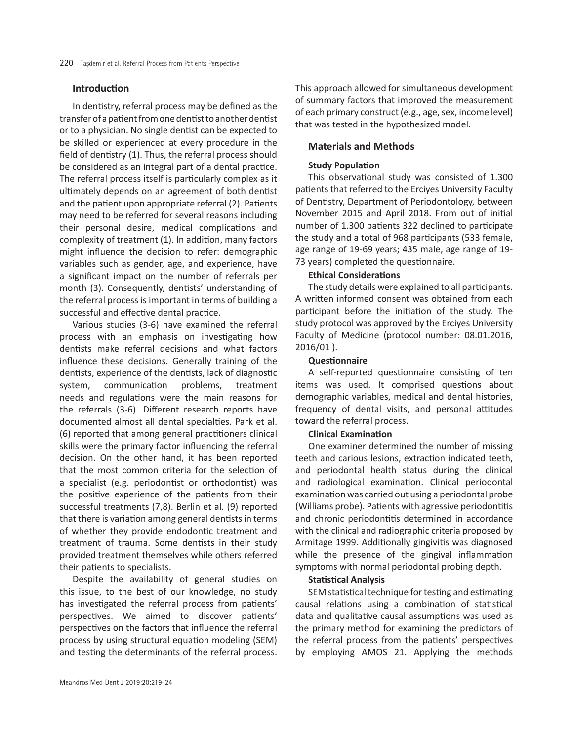#### **Introduction**

In dentistry, referral process may be defined as the transfer of a patient from one dentist to another dentist or to a physician. No single dentist can be expected to be skilled or experienced at every procedure in the field of dentistry (1). Thus, the referral process should be considered as an integral part of a dental practice. The referral process itself is particularly complex as it ultimately depends on an agreement of both dentist and the patient upon appropriate referral (2). Patients may need to be referred for several reasons including their personal desire, medical complications and complexity of treatment (1). In addition, many factors might influence the decision to refer: demographic variables such as gender, age, and experience, have a significant impact on the number of referrals per month (3). Consequently, dentists' understanding of the referral process is important in terms of building a successful and effective dental practice.

Various studies (3-6) have examined the referral process with an emphasis on investigating how dentists make referral decisions and what factors influence these decisions. Generally training of the dentists, experience of the dentists, lack of diagnostic system, communication problems, treatment needs and regulations were the main reasons for the referrals (3-6). Different research reports have documented almost all dental specialties. Park et al. (6) reported that among general practitioners clinical skills were the primary factor influencing the referral decision. On the other hand, it has been reported that the most common criteria for the selection of a specialist (e.g. periodontist or orthodontist) was the positive experience of the patients from their successful treatments (7,8). Berlin et al. (9) reported that there is variation among general dentists in terms of whether they provide endodontic treatment and treatment of trauma. Some dentists in their study provided treatment themselves while others referred their patients to specialists.

Despite the availability of general studies on this issue, to the best of our knowledge, no study has investigated the referral process from patients' perspectives. We aimed to discover patients' perspectives on the factors that influence the referral process by using structural equation modeling (SEM) and testing the determinants of the referral process.

This approach allowed for simultaneous development of summary factors that improved the measurement of each primary construct (e.g., age, sex, income level) that was tested in the hypothesized model.

## **Materials and Methods**

#### **Study Population**

This observational study was consisted of 1.300 patients that referred to the Erciyes University Faculty of Dentistry, Department of Periodontology, between November 2015 and April 2018. From out of initial number of 1.300 patients 322 declined to participate the study and a total of 968 participants (533 female, age range of 19-69 years; 435 male, age range of 19- 73 years) completed the questionnaire.

#### **Ethical Considerations**

The study details were explained to all participants. A written informed consent was obtained from each participant before the initiation of the study. The study protocol was approved by the Erciyes University Faculty of Medicine (protocol number: 08.01.2016, 2016/01 ).

## **Questionnaire**

A self-reported questionnaire consisting of ten items was used. It comprised questions about demographic variables, medical and dental histories, frequency of dental visits, and personal attitudes toward the referral process.

#### **Clinical Examination**

One examiner determined the number of missing teeth and carious lesions, extraction indicated teeth, and periodontal health status during the clinical and radiological examination. Clinical periodontal examination was carried out using a periodontal probe (Williams probe). Patients with agressive periodontitis and chronic periodontitis determined in accordance with the clinical and radiographic criteria proposed by Armitage 1999. Additionally gingivitis was diagnosed while the presence of the gingival inflammation symptoms with normal periodontal probing depth.

#### **Statistical Analysis**

SEM statistical technique for testing and estimating causal relations using a combination of statistical data and qualitative causal assumptions was used as the primary method for examining the predictors of the referral process from the patients' perspectives by employing AMOS 21. Applying the methods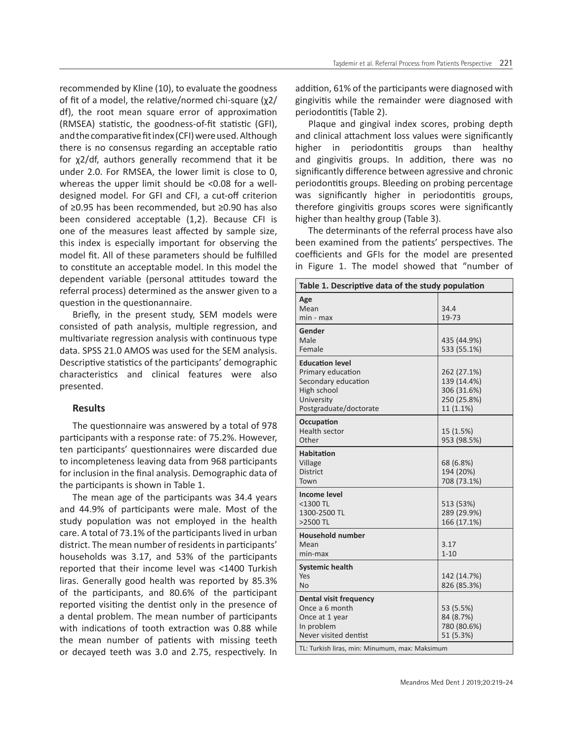recommended by Kline (10), to evaluate the goodness of fit of a model, the relative/normed chi-square (χ2/ df), the root mean square error of approximation (RMSEA) statistic, the goodness-of-fit statistic (GFI), and the comparative fit index (CFI) were used. Although there is no consensus regarding an acceptable ratio for χ2/df, authors generally recommend that it be under 2.0. For RMSEA, the lower limit is close to 0, whereas the upper limit should be <0.08 for a welldesigned model. For GFI and CFI, a cut-off criterion of ≥0.95 has been recommended, but ≥0.90 has also been considered acceptable (1,2). Because CFI is one of the measures least affected by sample size, this index is especially important for observing the model fit. All of these parameters should be fulfilled to constitute an acceptable model. In this model the dependent variable (personal attitudes toward the referral process) determined as the answer given to a question in the questionannaire.

Briefly, in the present study, SEM models were consisted of path analysis, multiple regression, and multivariate regression analysis with continuous type data. SPSS 21.0 AMOS was used for the SEM analysis. Descriptive statistics of the participants' demographic characteristics and clinical features were also presented.

#### **Results**

The questionnaire was answered by a total of 978 participants with a response rate: of 75.2%. However, ten participants' questionnaires were discarded due to incompleteness leaving data from 968 participants for inclusion in the final analysis. Demographic data of the participants is shown in Table 1.

The mean age of the participants was 34.4 years and 44.9% of participants were male. Most of the study population was not employed in the health care. A total of 73.1% of the participants lived in urban district. The mean number of residents in participants' households was 3.17, and 53% of the participants reported that their income level was <1400 Turkish liras. Generally good health was reported by 85.3% of the participants, and 80.6% of the participant reported visiting the dentist only in the presence of a dental problem. The mean number of participants with indications of tooth extraction was 0.88 while the mean number of patients with missing teeth or decayed teeth was 3.0 and 2.75, respectively. In addition, 61% of the participants were diagnosed with gingivitis while the remainder were diagnosed with periodontitis (Table 2).

Plaque and gingival index scores, probing depth and clinical attachment loss values were significantly higher in periodontitis groups than healthy and gingivitis groups. In addition, there was no significantly difference between agressive and chronic periodontitis groups. Bleeding on probing percentage was significantly higher in periodontitis groups, therefore gingivitis groups scores were significantly higher than healthy group (Table 3).

The determinants of the referral process have also been examined from the patients' perspectives. The coefficients and GFIs for the model are presented in Figure 1. The model showed that "number of

| Table 1. Descriptive data of the study population                                                                                                          |                                                                       |  |  |  |
|------------------------------------------------------------------------------------------------------------------------------------------------------------|-----------------------------------------------------------------------|--|--|--|
| Age<br>Mean<br>min - max                                                                                                                                   | 34.4<br>19-73                                                         |  |  |  |
| Gender<br>Male<br>Female                                                                                                                                   | 435 (44.9%)<br>533 (55.1%)                                            |  |  |  |
| <b>Education level</b><br>Primary education<br>Secondary education<br>High school<br>University<br>Postgraduate/doctorate                                  | 262 (27.1%)<br>139 (14.4%)<br>306 (31.6%)<br>250 (25.8%)<br>11 (1.1%) |  |  |  |
| Occupation<br><b>Health sector</b><br>Other                                                                                                                | 15 (1.5%)<br>953 (98.5%)                                              |  |  |  |
| <b>Habitation</b><br>Village<br><b>District</b><br>Town                                                                                                    | 68 (6.8%)<br>194 (20%)<br>708 (73.1%)                                 |  |  |  |
| <b>Income level</b><br><1300 TL<br>1300-2500 TL<br>>2500 TL                                                                                                | 513 (53%)<br>289 (29.9%)<br>166 (17.1%)                               |  |  |  |
| <b>Household number</b><br>Mean<br>$min-max$                                                                                                               | 3.17<br>$1 - 10$                                                      |  |  |  |
| <b>Systemic health</b><br>Yes<br><b>No</b>                                                                                                                 | 142 (14.7%)<br>826 (85.3%)                                            |  |  |  |
| <b>Dental visit frequency</b><br>Once a 6 month<br>Once at 1 year<br>In problem<br>Never visited dentist<br>TL: Turkish liras, min: Minumum, max: Maksimum | 53 (5.5%)<br>84 (8.7%)<br>780 (80.6%)<br>51 (5.3%)                    |  |  |  |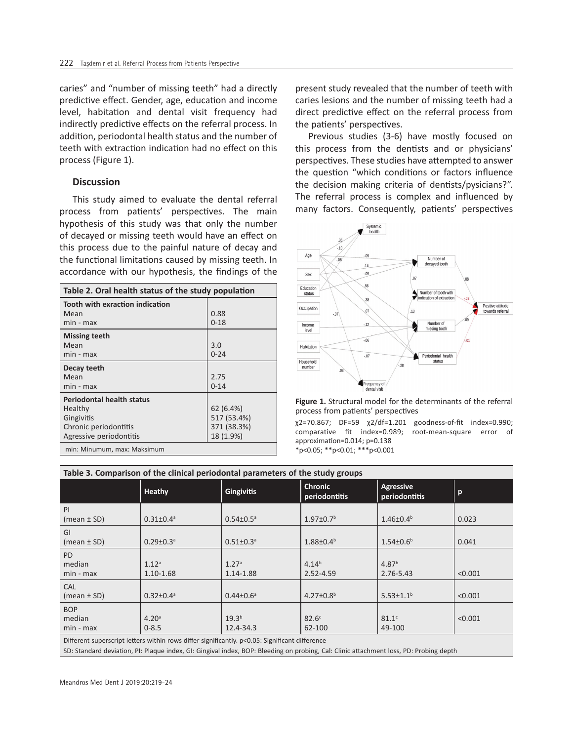caries" and "number of missing teeth" had a directly predictive effect. Gender, age, education and income level, habitation and dental visit frequency had indirectly predictive effects on the referral process. In addition, periodontal health status and the number of teeth with extraction indication had no effect on this process (Figure 1).

#### **Discussion**

This study aimed to evaluate the dental referral process from patients' perspectives. The main hypothesis of this study was that only the number of decayed or missing teeth would have an effect on this process due to the painful nature of decay and the functional limitations caused by missing teeth. In accordance with our hypothesis, the findings of the

| Table 2. Oral health status of the study population                                                           |                                                      |  |  |  |
|---------------------------------------------------------------------------------------------------------------|------------------------------------------------------|--|--|--|
| Tooth with exraction indication<br>Mean<br>min - max                                                          | 0.88<br>$0 - 18$                                     |  |  |  |
| <b>Missing teeth</b><br>Mean<br>min - max                                                                     | 3.0<br>$0 - 24$                                      |  |  |  |
| Decay teeth<br>Mean<br>min - max                                                                              | 2.75<br>$0 - 14$                                     |  |  |  |
| <b>Periodontal health status</b><br>Healthy<br>Gingivitis<br>Chronic periodontitis<br>Agressive periodontitis | 62 (6.4%)<br>517 (53.4%)<br>371 (38.3%)<br>18 (1.9%) |  |  |  |
| min: Minumum, max: Maksimum                                                                                   |                                                      |  |  |  |

present study revealed that the number of teeth with caries lesions and the number of missing teeth had a direct predictive effect on the referral process from the patients' perspectives.

Previous studies (3-6) have mostly focused on this process from the dentists and or physicians' perspectives. These studies have attempted to answer the question "which conditions or factors influence the decision making criteria of dentists/pysicians?". The referral process is complex and influenced by many factors. Consequently, patients' perspectives



**Figure 1.** Structural model for the determinants of the referral process from patients' perspectives

χ2=70.867; DF=59 χ2/df=1.201 goodness-of-fit index=0.990; comparative fit index=0.989; root-mean-square error of approximation=0.014; p=0.138 \*p<0.05; \*\*p<0.01; \*\*\*p<0.001

| Table 3. Comparison of the clinical periodontal parameters of the study groups                 |                                    |                                |                                 |                                   |         |  |  |
|------------------------------------------------------------------------------------------------|------------------------------------|--------------------------------|---------------------------------|-----------------------------------|---------|--|--|
|                                                                                                | Heathy                             | <b>Gingivitis</b>              | <b>Chronic</b><br>periodontitis | <b>Agressive</b><br>periodontitis | p       |  |  |
| PI<br>$(mean \pm SD)$                                                                          | $0.31 \pm 0.4^a$                   | $0.54 \pm 0.5$ <sup>a</sup>    | $1.97 \pm 0.7$ <sup>b</sup>     | $1.46 \pm 0.4^b$                  | 0.023   |  |  |
| GI<br>(mean $\pm$ SD)                                                                          | $0.29 \pm 0.3$ <sup>a</sup>        | $0.51 \pm 0.3$ <sup>a</sup>    | $1.88 \pm 0.4^b$                | $1.54 \pm 0.6^b$                  | 0.041   |  |  |
| <b>PD</b><br>median<br>$min - max$                                                             | 1.12 <sup>a</sup><br>$1.10 - 1.68$ | 1.27 <sup>a</sup><br>1.14-1.88 | $4.14^{b}$<br>2.52-4.59         | 4.87 <sup>b</sup><br>2.76-5.43    | < 0.001 |  |  |
| <b>CAL</b><br>(mean $\pm$ SD)                                                                  | $0.32 \pm 0.4^{\circ}$             | $0.44 \pm 0.6^{\circ}$         | $4.27 \pm 0.8^b$                | $5.53 \pm 1.1^b$                  | < 0.001 |  |  |
| <b>BOP</b><br>median<br>$min - max$                                                            | 4.20 <sup>a</sup><br>$0 - 8.5$     | 19.3 <sup>b</sup><br>12.4-34.3 | 82.6 <sup>c</sup><br>62-100     | 81.1 <sup>c</sup><br>49-100       | < 0.001 |  |  |
| Different superscript letters within rows differ significantly. p<0.05: Significant difference |                                    |                                |                                 |                                   |         |  |  |

SD: Standard deviation, PI: Plaque index, GI: Gingival index, BOP: Bleeding on probing, Cal: Clinic attachment loss, PD: Probing depth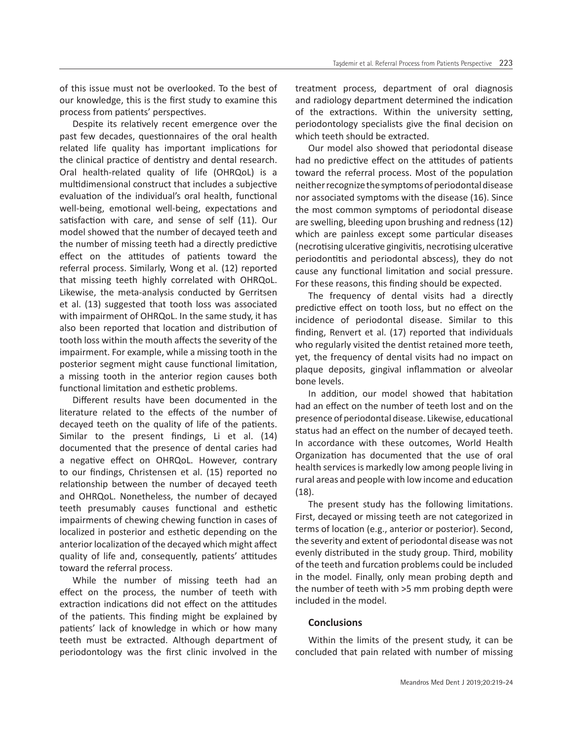of this issue must not be overlooked. To the best of our knowledge, this is the first study to examine this process from patients' perspectives.

Despite its relatively recent emergence over the past few decades, questionnaires of the oral health related life quality has important implications for the clinical practice of dentistry and dental research. Oral health-related quality of life (OHRQoL) is a multidimensional construct that includes a subjective evaluation of the individual's oral health, functional well-being, emotional well-being, expectations and satisfaction with care, and sense of self (11). Our model showed that the number of decayed teeth and the number of missing teeth had a directly predictive effect on the attitudes of patients toward the referral process. Similarly, Wong et al. (12) reported that missing teeth highly correlated with OHRQoL. Likewise, the meta-analysis conducted by Gerritsen et al. (13) suggested that tooth loss was associated with impairment of OHRQoL. In the same study, it has also been reported that location and distribution of tooth loss within the mouth affects the severity of the impairment. For example, while a missing tooth in the posterior segment might cause functional limitation, a missing tooth in the anterior region causes both functional limitation and esthetic problems.

Different results have been documented in the literature related to the effects of the number of decayed teeth on the quality of life of the patients. Similar to the present findings, Li et al. (14) documented that the presence of dental caries had a negative effect on OHRQoL. However, contrary to our findings, Christensen et al. (15) reported no relationship between the number of decayed teeth and OHRQoL. Nonetheless, the number of decayed teeth presumably causes functional and esthetic impairments of chewing chewing function in cases of localized in posterior and esthetic depending on the anterior localization of the decayed which might affect quality of life and, consequently, patients' attitudes toward the referral process.

While the number of missing teeth had an effect on the process, the number of teeth with extraction indications did not effect on the attitudes of the patients. This finding might be explained by patients' lack of knowledge in which or how many teeth must be extracted. Although department of periodontology was the first clinic involved in the

treatment process, department of oral diagnosis and radiology department determined the indication of the extractions. Within the university setting, periodontology specialists give the final decision on which teeth should be extracted.

Our model also showed that periodontal disease had no predictive effect on the attitudes of patients toward the referral process. Most of the population neither recognize the symptoms of periodontal disease nor associated symptoms with the disease (16). Since the most common symptoms of periodontal disease are swelling, bleeding upon brushing and redness (12) which are painless except some particular diseases (necrotising ulcerative gingivitis, necrotising ulcerative periodontitis and periodontal abscess), they do not cause any functional limitation and social pressure. For these reasons, this finding should be expected.

The frequency of dental visits had a directly predictive effect on tooth loss, but no effect on the incidence of periodontal disease. Similar to this finding, Renvert et al. (17) reported that individuals who regularly visited the dentist retained more teeth, yet, the frequency of dental visits had no impact on plaque deposits, gingival inflammation or alveolar bone levels.

In addition, our model showed that habitation had an effect on the number of teeth lost and on the presence of periodontal disease. Likewise, educational status had an effect on the number of decayed teeth. In accordance with these outcomes, World Health Organization has documented that the use of oral health services is markedly low among people living in rural areas and people with low income and education (18).

The present study has the following limitations. First, decayed or missing teeth are not categorized in terms of location (e.g., anterior or posterior). Second, the severity and extent of periodontal disease was not evenly distributed in the study group. Third, mobility of the teeth and furcation problems could be included in the model. Finally, only mean probing depth and the number of teeth with >5 mm probing depth were included in the model.

## **Conclusions**

Within the limits of the present study, it can be concluded that pain related with number of missing